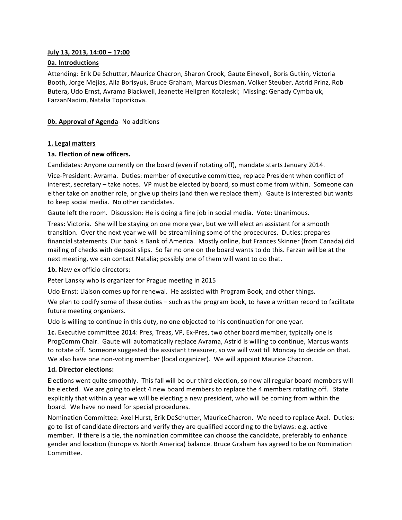# **July 13, 2013, 14:00 - 17:00**

# **0a. Introductions**

Attending: Erik De Schutter, Maurice Chacron, Sharon Crook, Gaute Einevoll, Boris Gutkin, Victoria Booth, Jorge Mejias, Alla Borisyuk, Bruce Graham, Marcus Diesman, Volker Steuber, Astrid Prinz, Rob Butera, Udo Ernst, Avrama Blackwell, Jeanette Hellgren Kotaleski; Missing: Genady Cymbaluk, FarzanNadim, Natalia Toporikova.

# **0b. Approval of Agenda- No additions**

# **1. Legal matters**

# 1a. Election of new officers.

Candidates: Anyone currently on the board (even if rotating off), mandate starts January 2014.

Vice-President: Avrama. Duties: member of executive committee, replace President when conflict of interest, secretary – take notes. VP must be elected by board, so must come from within. Someone can either take on another role, or give up theirs (and then we replace them). Gaute is interested but wants to keep social media. No other candidates.

Gaute left the room. Discussion: He is doing a fine job in social media. Vote: Unanimous.

Treas: Victoria. She will be staying on one more year, but we will elect an assistant for a smooth transition. Over the next year we will be streamlining some of the procedures. Duties: prepares financial statements. Our bank is Bank of America. Mostly online, but Frances Skinner (from Canada) did mailing of checks with deposit slips. So far no one on the board wants to do this. Farzan will be at the next meeting, we can contact Natalia; possibly one of them will want to do that.

**1b.** New ex officio directors:

Peter Lansky who is organizer for Prague meeting in 2015

Udo Ernst: Liaison comes up for renewal. He assisted with Program Book, and other things.

We plan to codify some of these duties  $-$  such as the program book, to have a written record to facilitate future meeting organizers.

Udo is willing to continue in this duty, no one objected to his continuation for one year.

**1c.** Executive committee 2014: Pres, Treas, VP, Ex-Pres, two other board member, typically one is ProgComm Chair. Gaute will automatically replace Avrama, Astrid is willing to continue, Marcus wants to rotate off. Someone suggested the assistant treasurer, so we will wait till Monday to decide on that. We also have one non-voting member (local organizer). We will appoint Maurice Chacron.

# 1d. Director elections:

Elections went quite smoothly. This fall will be our third election, so now all regular board members will be elected. We are going to elect 4 new board members to replace the 4 members rotating off. State explicitly that within a year we will be electing a new president, who will be coming from within the board. We have no need for special procedures.

Nomination Committee: Axel Hurst, Erik DeSchutter, MauriceChacron. We need to replace Axel. Duties: go to list of candidate directors and verify they are qualified according to the bylaws: e.g. active member. If there is a tie, the nomination committee can choose the candidate, preferably to enhance gender and location (Europe vs North America) balance. Bruce Graham has agreed to be on Nomination Committee.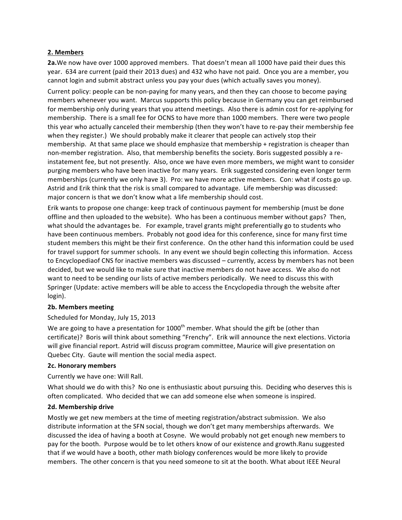# **2. Members**

**2a.**We now have over 1000 approved members. That doesn't mean all 1000 have paid their dues this year. 634 are current (paid their 2013 dues) and 432 who have not paid. Once you are a member, you cannot login and submit abstract unless you pay your dues (which actually saves you money).

Current policy: people can be non-paying for many years, and then they can choose to become paying members whenever you want. Marcus supports this policy because in Germany you can get reimbursed for membership only during years that you attend meetings. Also there is admin cost for re-applying for membership. There is a small fee for OCNS to have more than 1000 members. There were two people this year who actually canceled their membership (then they won't have to re-pay their membership fee when they register.) We should probably make it clearer that people can actively stop their membership. At that same place we should emphasize that membership + registration is cheaper than non-member registration. Also, that membership benefits the society. Boris suggested possibly a reinstatement fee, but not presently. Also, once we have even more members, we might want to consider purging members who have been inactive for many years. Erik suggested considering even longer term memberships (currently we only have 3). Pro: we have more active members. Con: what if costs go up. Astrid and Erik think that the risk is small compared to advantage. Life membership was discussed: major concern is that we don't know what a life membership should cost.

Erik wants to propose one change: keep track of continuous payment for membership (must be done offline and then uploaded to the website). Who has been a continuous member without gaps? Then, what should the advantages be. For example, travel grants might preferentially go to students who have been continuous members. Probably not good idea for this conference, since for many first time student members this might be their first conference. On the other hand this information could be used for travel support for summer schools. In any event we should begin collecting this information. Access to Encyclopediaof CNS for inactive members was discussed – currently, access by members has not been decided, but we would like to make sure that inactive members do not have access. We also do not want to need to be sending our lists of active members periodically. We need to discuss this with Springer (Update: active members will be able to access the Encyclopedia through the website after login).

# **2b. Members meeting**

# Scheduled for Monday, July 15, 2013

We are going to have a presentation for  $1000^{\text{th}}$  member. What should the gift be (other than certificate)? Boris will think about something "Frenchy". Erik will announce the next elections. Victoria will give financial report. Astrid will discuss program committee, Maurice will give presentation on Quebec City. Gaute will mention the social media aspect.

# **2c. Honorary members**

Currently we have one: Will Rall.

What should we do with this? No one is enthusiastic about pursuing this. Deciding who deserves this is often complicated. Who decided that we can add someone else when someone is inspired.

# **2d. Membership drive**

Mostly we get new members at the time of meeting registration/abstract submission. We also distribute information at the SFN social, though we don't get many memberships afterwards. We discussed the idea of having a booth at Cosyne. We would probably not get enough new members to pay for the booth. Purpose would be to let others know of our existence and growth.Ranu suggested that if we would have a booth, other math biology conferences would be more likely to provide members. The other concern is that you need someone to sit at the booth. What about IEEE Neural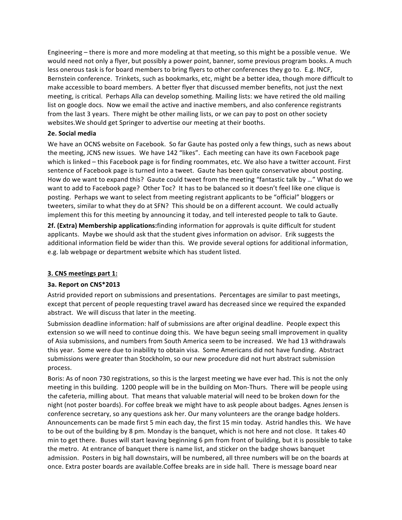Engineering – there is more and more modeling at that meeting, so this might be a possible venue. We would need not only a flyer, but possibly a power point, banner, some previous program books. A much less onerous task is for board members to bring flyers to other conferences they go to. E.g. INCF, Bernstein conference. Trinkets, such as bookmarks, etc, might be a better idea, though more difficult to make accessible to board members. A better flyer that discussed member benefits, not just the next meeting, is critical. Perhaps Alla can develop something. Mailing lists: we have retired the old mailing list on google docs. Now we email the active and inactive members, and also conference registrants from the last 3 years. There might be other mailing lists, or we can pay to post on other society websites. We should get Springer to advertise our meeting at their booths.

# **2e. Social media**

We have an OCNS website on Facebook. So far Gaute has posted only a few things, such as news about the meeting, JCNS new issues. We have 142 "likes". Each meeting can have its own Facebook page which is linked – this Facebook page is for finding roommates, etc. We also have a twitter account. First sentence of Facebook page is turned into a tweet. Gaute has been quite conservative about posting. How do we want to expand this? Gaute could tweet from the meeting "fantastic talk by ..." What do we want to add to Facebook page? Other Toc? It has to be balanced so it doesn't feel like one clique is posting. Perhaps we want to select from meeting registrant applicants to be "official" bloggers or tweeters, similar to what they do at SFN? This should be on a different account. We could actually implement this for this meeting by announcing it today, and tell interested people to talk to Gaute.

**2f.** (Extra) Membership applications: finding information for approvals is quite difficult for student applicants. Maybe we should ask that the student gives information on advisor. Erik suggests the additional information field be wider than this. We provide several options for additional information, e.g. lab webpage or department website which has student listed.

# **3. CNS meetings part 1:**

# **3a. Report on CNS\*2013**

Astrid provided report on submissions and presentations. Percentages are similar to past meetings, except that percent of people requesting travel award has decreased since we required the expanded abstract. We will discuss that later in the meeting.

Submission deadline information: half of submissions are after original deadline. People expect this extension so we will need to continue doing this. We have begun seeing small improvement in quality of Asia submissions, and numbers from South America seem to be increased. We had 13 withdrawals this year. Some were due to inability to obtain visa. Some Americans did not have funding. Abstract submissions were greater than Stockholm, so our new procedure did not hurt abstract submission process.

Boris: As of noon 730 registrations, so this is the largest meeting we have ever had. This is not the only meeting in this building. 1200 people will be in the building on Mon-Thurs. There will be people using the cafeteria, milling about. That means that valuable material will need to be broken down for the night (not poster boards). For coffee break we might have to ask people about badges. Agnes Jensen is conference secretary, so any questions ask her. Our many volunteers are the orange badge holders. Announcements can be made first 5 min each day, the first 15 min today. Astrid handles this. We have to be out of the building by 8 pm. Monday is the banquet, which is not here and not close. It takes 40 min to get there. Buses will start leaving beginning 6 pm from front of building, but it is possible to take the metro. At entrance of banquet there is name list, and sticker on the badge shows banquet admission. Posters in big hall downstairs, will be numbered, all three numbers will be on the boards at once. Extra poster boards are available.Coffee breaks are in side hall. There is message board near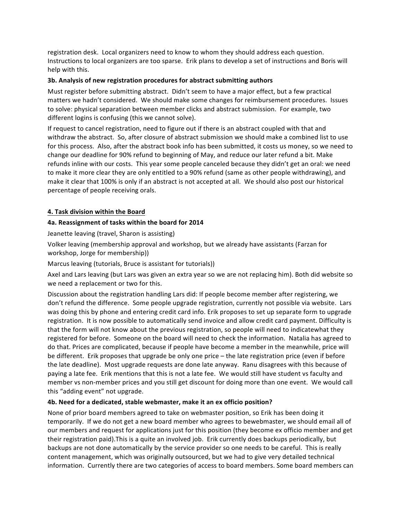registration desk. Local organizers need to know to whom they should address each question. Instructions to local organizers are too sparse. Erik plans to develop a set of instructions and Boris will help with this.

# **3b.** Analysis of new registration procedures for abstract submitting authors

Must register before submitting abstract. Didn't seem to have a major effect, but a few practical matters we hadn't considered. We should make some changes for reimbursement procedures. Issues to solve: physical separation between member clicks and abstract submission. For example, two different logins is confusing (this we cannot solve).

If request to cancel registration, need to figure out if there is an abstract coupled with that and withdraw the abstract. So, after closure of abstract submission we should make a combined list to use for this process. Also, after the abstract book info has been submitted, it costs us money, so we need to change our deadline for 90% refund to beginning of May, and reduce our later refund a bit. Make refunds inline with our costs. This year some people canceled because they didn't get an oral: we need to make it more clear they are only entitled to a 90% refund (same as other people withdrawing), and make it clear that 100% is only if an abstract is not accepted at all. We should also post our historical percentage of people receiving orals.

# **4. Task division within the Board**

### **4a. Reassignment of tasks within the board for 2014**

Jeanette leaving (travel, Sharon is assisting)

Volker leaving (membership approval and workshop, but we already have assistants (Farzan for workshop, Jorge for membership))

Marcus leaving (tutorials, Bruce is assistant for tutorials))

Axel and Lars leaving (but Lars was given an extra year so we are not replacing him). Both did website so we need a replacement or two for this.

Discussion about the registration handling Lars did: If people become member after registering, we don't refund the difference. Some people upgrade registration, currently not possible via website. Lars was doing this by phone and entering credit card info. Erik proposes to set up separate form to upgrade registration. It is now possible to automatically send invoice and allow credit card payment. Difficulty is that the form will not know about the previous registration, so people will need to indicatewhat they registered for before. Someone on the board will need to check the information. Natalia has agreed to do that. Prices are complicated, because if people have become a member in the meanwhile, price will be different. Erik proposes that upgrade be only one price – the late registration price (even if before the late deadline). Most upgrade requests are done late anyway. Ranu disagrees with this because of paying a late fee. Erik mentions that this is not a late fee. We would still have student vs faculty and member vs non-member prices and you still get discount for doing more than one event. We would call this "adding event" not upgrade.

### **4b.** Need for a dedicated, stable webmaster, make it an ex officio position?

None of prior board members agreed to take on webmaster position, so Erik has been doing it temporarily. If we do not get a new board member who agrees to bewebmaster, we should email all of our members and request for applications just for this position (they become ex officio member and get their registration paid). This is a quite an involved job. Erik currently does backups periodically, but backups are not done automatically by the service provider so one needs to be careful. This is really content management, which was originally outsourced, but we had to give very detailed technical information. Currently there are two categories of access to board members. Some board members can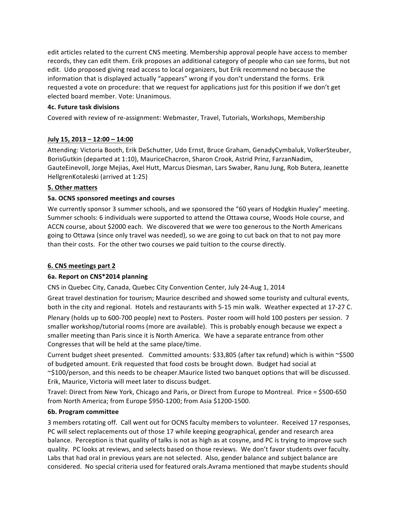edit articles related to the current CNS meeting. Membership approval people have access to member records, they can edit them. Erik proposes an additional category of people who can see forms, but not edit. Udo proposed giving read access to local organizers, but Erik recommend no because the information that is displayed actually "appears" wrong if you don't understand the forms. Erik requested a vote on procedure: that we request for applications just for this position if we don't get elected board member. Vote: Unanimous.

# **4c. Future task divisions**

Covered with review of re-assignment: Webmaster, Travel, Tutorials, Workshops, Membership

# **July 15, 2013 – 12:00 – 14:00**

Attending: Victoria Booth, Erik DeSchutter, Udo Ernst, Bruce Graham, GenadyCymbaluk, VolkerSteuber, BorisGutkin (departed at 1:10), MauriceChacron, Sharon Crook, Astrid Prinz, FarzanNadim, GauteEinevoll, Jorge Mejias, Axel Hutt, Marcus Diesman, Lars Swaber, Ranu Jung, Rob Butera, Jeanette HellgrenKotaleski (arrived at 1:25)

# **5. Other matters**

# **5a. OCNS sponsored meetings and courses**

We currently sponsor 3 summer schools, and we sponsored the "60 years of Hodgkin Huxley" meeting. Summer schools: 6 individuals were supported to attend the Ottawa course, Woods Hole course, and ACCN course, about \$2000 each. We discovered that we were too generous to the North Americans going to Ottawa (since only travel was needed), so we are going to cut back on that to not pay more than their costs. For the other two courses we paid tuition to the course directly.

# **6. CNS meetings part 2**

# **6a. Report on CNS\*2014 planning**

CNS in Quebec City, Canada, Quebec City Convention Center, July 24-Aug 1, 2014

Great travel destination for tourism; Maurice described and showed some touristy and cultural events, both in the city and regional. Hotels and restaurants with 5-15 min walk. Weather expected at 17-27 C.

Plenary (holds up to 600-700 people) next to Posters. Poster room will hold 100 posters per session. 7 smaller workshop/tutorial rooms (more are available). This is probably enough because we expect a smaller meeting than Paris since it is North America. We have a separate entrance from other Congresses that will be held at the same place/time.

Current budget sheet presented. Committed amounts: \$33,805 (after tax refund) which is within ~\$500 of budgeted amount. Erik requested that food costs be brought down. Budget had social at ~\$100/person, and this needs to be cheaper.Maurice listed two banquet options that will be discussed. Erik, Maurice, Victoria will meet later to discuss budget.

Travel: Direct from New York, Chicago and Paris, or Direct from Europe to Montreal. Price = \$500-650 from North America; from Europe \$950-1200; from Asia \$1200-1500.

# **6b. Program committee**

3 members rotating off. Call went out for OCNS faculty members to volunteer. Received 17 responses, PC will select replacements out of those 17 while keeping geographical, gender and research area balance. Perception is that quality of talks is not as high as at cosyne, and PC is trying to improve such quality. PC looks at reviews, and selects based on those reviews. We don't favor students over faculty. Labs that had oral in previous years are not selected. Also, gender balance and subject balance are considered. No special criteria used for featured orals. Avrama mentioned that maybe students should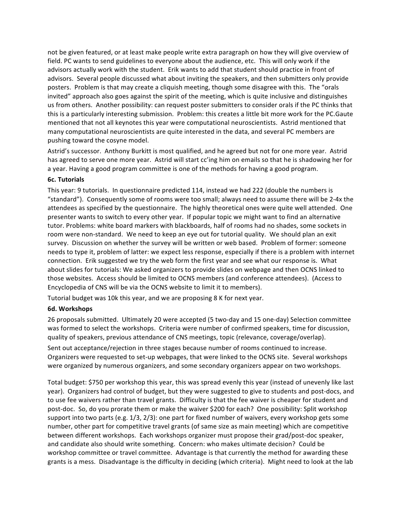not be given featured, or at least make people write extra paragraph on how they will give overview of field. PC wants to send guidelines to everyone about the audience, etc. This will only work if the advisors actually work with the student. Erik wants to add that student should practice in front of advisors. Several people discussed what about inviting the speakers, and then submitters only provide posters. Problem is that may create a cliquish meeting, though some disagree with this. The "orals invited" approach also goes against the spirit of the meeting, which is quite inclusive and distinguishes us from others. Another possibility: can request poster submitters to consider orals if the PC thinks that this is a particularly interesting submission. Problem: this creates a little bit more work for the PC.Gaute mentioned that not all keynotes this year were computational neuroscientists. Astrid mentioned that many computational neuroscientists are quite interested in the data, and several PC members are pushing toward the cosyne model.

Astrid's successor. Anthony Burkitt is most qualified, and he agreed but not for one more year. Astrid has agreed to serve one more year. Astrid will start cc'ing him on emails so that he is shadowing her for a year. Having a good program committee is one of the methods for having a good program.

### **6c. Tutorials**

This year: 9 tutorials. In questionnaire predicted 114, instead we had 222 (double the numbers is "standard"). Consequently some of rooms were too small; always need to assume there will be 2-4x the attendees as specified by the questionnaire. The highly theoretical ones were quite well attended. One presenter wants to switch to every other year. If popular topic we might want to find an alternative tutor. Problems: white board markers with blackboards, half of rooms had no shades, some sockets in room were non-standard. We need to keep an eye out for tutorial quality. We should plan an exit survey. Discussion on whether the survey will be written or web based. Problem of former: someone needs to type it, problem of latter: we expect less response, especially if there is a problem with internet connection. Erik suggested we try the web form the first year and see what our response is. What about slides for tutorials: We asked organizers to provide slides on webpage and then OCNS linked to those websites. Access should be limited to OCNS members (and conference attendees). (Access to Encyclopedia of CNS will be via the OCNS website to limit it to members).

Tutorial budget was 10k this year, and we are proposing 8 K for next year.

### **6d. Workshops**

26 proposals submitted. Ultimately 20 were accepted (5 two-day and 15 one-day) Selection committee was formed to select the workshops. Criteria were number of confirmed speakers, time for discussion, quality of speakers, previous attendance of CNS meetings, topic (relevance, coverage/overlap).

Sent out acceptance/rejection in three stages because number of rooms continued to increase. Organizers were requested to set-up webpages, that were linked to the OCNS site. Several workshops were organized by numerous organizers, and some secondary organizers appear on two workshops.

Total budget: \$750 per workshop this year, this was spread evenly this year (instead of unevenly like last year). Organizers had control of budget, but they were suggested to give to students and post-docs, and to use fee waivers rather than travel grants. Difficulty is that the fee waiver is cheaper for student and post-doc. So, do you prorate them or make the waiver \$200 for each? One possibility: Split workshop support into two parts (e.g.  $1/3$ ,  $2/3$ ): one part for fixed number of waivers, every workshop gets some number, other part for competitive travel grants (of same size as main meeting) which are competitive between different workshops. Each workshops organizer must propose their grad/post-doc speaker, and candidate also should write something. Concern: who makes ultimate decision? Could be workshop committee or travel committee. Advantage is that currently the method for awarding these grants is a mess. Disadvantage is the difficulty in deciding (which criteria). Might need to look at the lab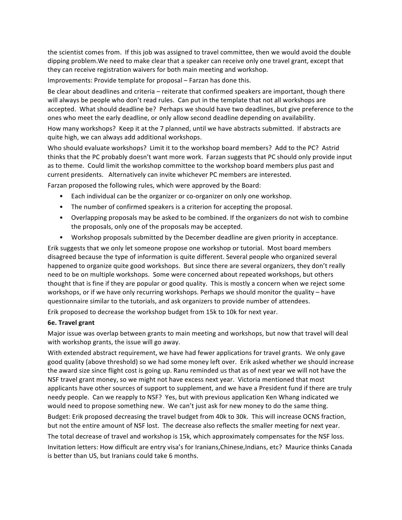the scientist comes from. If this job was assigned to travel committee, then we would avoid the double dipping problem. We need to make clear that a speaker can receive only one travel grant, except that they can receive registration waivers for both main meeting and workshop.

Improvements: Provide template for proposal – Farzan has done this.

Be clear about deadlines and criteria – reiterate that confirmed speakers are important, though there will always be people who don't read rules. Can put in the template that not all workshops are accepted. What should deadline be? Perhaps we should have two deadlines, but give preference to the ones who meet the early deadline, or only allow second deadline depending on availability.

How many workshops? Keep it at the 7 planned, until we have abstracts submitted. If abstracts are quite high, we can always add additional workshops.

Who should evaluate workshops? Limit it to the workshop board members? Add to the PC? Astrid thinks that the PC probably doesn't want more work. Farzan suggests that PC should only provide input as to theme. Could limit the workshop committee to the workshop board members plus past and current presidents. Alternatively can invite whichever PC members are interested.

Farzan proposed the following rules, which were approved by the Board:

- Each individual can be the organizer or co-organizer on only one workshop.
- The number of confirmed speakers is a criterion for accepting the proposal.
- Overlapping proposals may be asked to be combined. If the organizers do not wish to combine the proposals, only one of the proposals may be accepted.
- Workshop proposals submitted by the December deadline are given priority in acceptance.

Erik suggests that we only let someone propose one workshop or tutorial. Most board members disagreed because the type of information is quite different. Several people who organized several happened to organize quite good workshops. But since there are several organizers, they don't really need to be on multiple workshops. Some were concerned about repeated workshops, but others thought that is fine if they are popular or good quality. This is mostly a concern when we reject some workshops, or if we have only recurring workshops. Perhaps we should monitor the quality – have questionnaire similar to the tutorials, and ask organizers to provide number of attendees.

Erik proposed to decrease the workshop budget from 15k to 10k for next year.

### **6e. Travel grant**

Major issue was overlap between grants to main meeting and workshops, but now that travel will deal with workshop grants, the issue will go away.

With extended abstract requirement, we have had fewer applications for travel grants. We only gave good quality (above threshold) so we had some money left over. Erik asked whether we should increase the award size since flight cost is going up. Ranu reminded us that as of next year we will not have the NSF travel grant money, so we might not have excess next year. Victoria mentioned that most applicants have other sources of support to supplement, and we have a President fund if there are truly needy people. Can we reapply to NSF? Yes, but with previous application Ken Whang indicated we would need to propose something new. We can't just ask for new money to do the same thing.

Budget: Erik proposed decreasing the travel budget from 40k to 30k. This will increase OCNS fraction, but not the entire amount of NSF lost. The decrease also reflects the smaller meeting for next year.

The total decrease of travel and workshop is 15k, which approximately compensates for the NSF loss. Invitation letters: How difficult are entry visa's for Iranians,Chinese,Indians, etc? Maurice thinks Canada is better than US, but Iranians could take 6 months.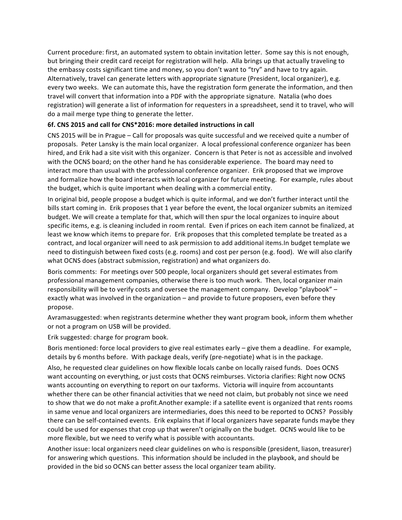Current procedure: first, an automated system to obtain invitation letter. Some say this is not enough, but bringing their credit card receipt for registration will help. Alla brings up that actually traveling to the embassy costs significant time and money, so you don't want to "try" and have to try again. Alternatively, travel can generate letters with appropriate signature (President, local organizer), e.g. every two weeks. We can automate this, have the registration form generate the information, and then travel will convert that information into a PDF with the appropriate signature. Natalia (who does registration) will generate a list of information for requesters in a spreadsheet, send it to travel, who will do a mail merge type thing to generate the letter.

# **6f. CNS 2015 and call for CNS\*2016: more detailed instructions in call**

CNS 2015 will be in Prague – Call for proposals was quite successful and we received quite a number of proposals. Peter Lansky is the main local organizer. A local professional conference organizer has been hired, and Erik had a site visit with this organizer. Concern is that Peter is not as accessible and involved with the OCNS board; on the other hand he has considerable experience. The board may need to interact more than usual with the professional conference organizer. Erik proposed that we improve and formalize how the board interacts with local organizer for future meeting. For example, rules about the budget, which is quite important when dealing with a commercial entity.

In original bid, people propose a budget which is quite informal, and we don't further interact until the bills start coming in. Erik proposes that 1 year before the event, the local organizer submits an itemized budget. We will create a template for that, which will then spur the local organizes to inquire about specific items, e.g. is cleaning included in room rental. Even if prices on each item cannot be finalized, at least we know which items to prepare for. Erik proposes that this completed template be treated as a contract, and local organizer will need to ask permission to add additional items. In budget template we need to distinguish between fixed costs (e.g. rooms) and cost per person (e.g. food). We will also clarify what OCNS does (abstract submission, registration) and what organizers do.

Boris comments: For meetings over 500 people, local organizers should get several estimates from professional management companies, otherwise there is too much work. Then, local organizer main responsibility will be to verify costs and oversee the management company. Develop "playbook" – exactly what was involved in the organization – and provide to future proposers, even before they propose.

Avramasuggested: when registrants determine whether they want program book, inform them whether or not a program on USB will be provided.

Erik suggested: charge for program book.

Boris mentioned: force local providers to give real estimates early  $-$  give them a deadline. For example, details by 6 months before. With package deals, verify (pre-negotiate) what is in the package.

Also, he requested clear guidelines on how flexible locals canbe on locally raised funds. Does OCNS want accounting on everything, or just costs that OCNS reimburses. Victoria clarifies: Right now OCNS wants accounting on everything to report on our taxforms. Victoria will inquire from accountants whether there can be other financial activities that we need not claim, but probably not since we need to show that we do not make a profit. Another example: if a satellite event is organized that rents rooms in same venue and local organizers are intermediaries, does this need to be reported to OCNS? Possibly there can be self-contained events. Erik explains that if local organizers have separate funds maybe they could be used for expenses that crop up that weren't originally on the budget. OCNS would like to be more flexible, but we need to verify what is possible with accountants.

Another issue: local organizers need clear guidelines on who is responsible (president, liason, treasurer) for answering which questions. This information should be included in the playbook, and should be provided in the bid so OCNS can better assess the local organizer team ability.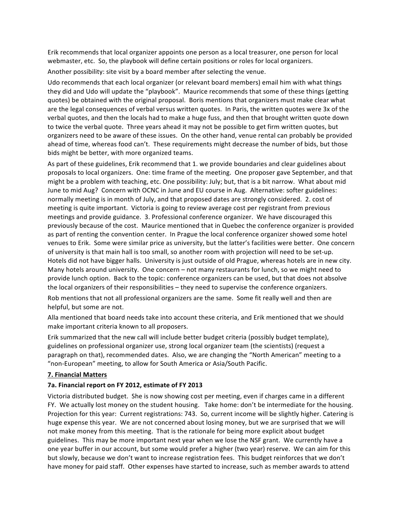Erik recommends that local organizer appoints one person as a local treasurer, one person for local webmaster, etc. So, the playbook will define certain positions or roles for local organizers.

Another possibility: site visit by a board member after selecting the venue.

Udo recommends that each local organizer (or relevant board members) email him with what things they did and Udo will update the "playbook". Maurice recommends that some of these things (getting quotes) be obtained with the original proposal. Boris mentions that organizers must make clear what are the legal consequences of verbal versus written quotes. In Paris, the written quotes were 3x of the verbal quotes, and then the locals had to make a huge fuss, and then that brought written quote down to twice the verbal quote. Three years ahead it may not be possible to get firm written quotes, but organizers need to be aware of these issues. On the other hand, venue rental can probably be provided ahead of time, whereas food can't. These requirements might decrease the number of bids, but those bids might be better, with more organized teams.

As part of these guidelines, Erik recommend that 1. we provide boundaries and clear guidelines about proposals to local organizers. One: time frame of the meeting. One proposer gave September, and that might be a problem with teaching, etc. One possibility: July; but, that is a bit narrow. What about mid June to mid Aug? Concern with OCNC in June and EU course in Aug. Alternative: softer guidelines: normally meeting is in month of July, and that proposed dates are strongly considered. 2. cost of meeting is quite important. Victoria is going to review average cost per registrant from previous meetings and provide guidance. 3. Professional conference organizer. We have discouraged this previously because of the cost. Maurice mentioned that in Quebec the conference organizer is provided as part of renting the convention center. In Prague the local conference organizer showed some hotel venues to Erik. Some were similar price as university, but the latter's facilities were better. One concern of university is that main hall is too small, so another room with projection will need to be set-up. Hotels did not have bigger halls. University is just outside of old Prague, whereas hotels are in new city. Many hotels around university. One concern – not many restaurants for lunch, so we might need to provide lunch option. Back to the topic: conference organizers can be used, but that does not absolve the local organizers of their responsibilities  $-$  they need to supervise the conference organizers.

Rob mentions that not all professional organizers are the same. Some fit really well and then are helpful, but some are not.

Alla mentioned that board needs take into account these criteria, and Erik mentioned that we should make important criteria known to all proposers.

Erik summarized that the new call will include better budget criteria (possibly budget template), guidelines on professional organizer use, strong local organizer team (the scientists) (request a paragraph on that), recommended dates. Also, we are changing the "North American" meeting to a "non-European" meeting, to allow for South America or Asia/South Pacific.

### **7. Financial Matters**

### **7a. Financial report on FY 2012, estimate of FY 2013**

Victoria distributed budget. She is now showing cost per meeting, even if charges came in a different FY. We actually lost money on the student housing. Take home: don't be intermediate for the housing. Projection for this year: Current registrations: 743. So, current income will be slightly higher. Catering is huge expense this year. We are not concerned about losing money, but we are surprised that we will not make money from this meeting. That is the rationale for being more explicit about budget guidelines. This may be more important next year when we lose the NSF grant. We currently have a one year buffer in our account, but some would prefer a higher (two year) reserve. We can aim for this but slowly, because we don't want to increase registration fees. This budget reinforces that we don't have money for paid staff. Other expenses have started to increase, such as member awards to attend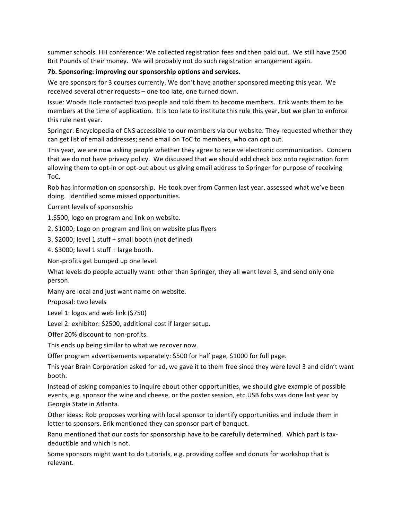summer schools. HH conference: We collected registration fees and then paid out. We still have 2500 Brit Pounds of their money. We will probably not do such registration arrangement again.

### **7b.** Sponsoring: improving our sponsorship options and services.

We are sponsors for 3 courses currently. We don't have another sponsored meeting this year. We received several other requests - one too late, one turned down.

Issue: Woods Hole contacted two people and told them to become members. Erik wants them to be members at the time of application. It is too late to institute this rule this year, but we plan to enforce this rule next year.

Springer: Encyclopedia of CNS accessible to our members via our website. They requested whether they can get list of email addresses; send email on ToC to members, who can opt out.

This year, we are now asking people whether they agree to receive electronic communication. Concern that we do not have privacy policy. We discussed that we should add check box onto registration form allowing them to opt-in or opt-out about us giving email address to Springer for purpose of receiving ToC.

Rob has information on sponsorship. He took over from Carmen last year, assessed what we've been doing. Identified some missed opportunities.

Current levels of sponsorship

1:\$500; logo on program and link on website.

2. \$1000; Logo on program and link on website plus flyers

3. \$2000; level 1 stuff + small booth (not defined)

4. \$3000; level 1 stuff + large booth.

Non-profits get bumped up one level.

What levels do people actually want: other than Springer, they all want level 3, and send only one person.

Many are local and just want name on website.

Proposal: two levels

Level 1: logos and web link (\$750)

Level 2: exhibitor: \$2500, additional cost if larger setup.

Offer 20% discount to non-profits.

This ends up being similar to what we recover now.

Offer program advertisements separately: \$500 for half page, \$1000 for full page.

This year Brain Corporation asked for ad, we gave it to them free since they were level 3 and didn't want booth.

Instead of asking companies to inquire about other opportunities, we should give example of possible events, e.g. sponsor the wine and cheese, or the poster session, etc.USB fobs was done last year by Georgia State in Atlanta.

Other ideas: Rob proposes working with local sponsor to identify opportunities and include them in letter to sponsors. Erik mentioned they can sponsor part of banquet.

Ranu mentioned that our costs for sponsorship have to be carefully determined. Which part is taxdeductible and which is not.

Some sponsors might want to do tutorials, e.g. providing coffee and donuts for workshop that is relevant.